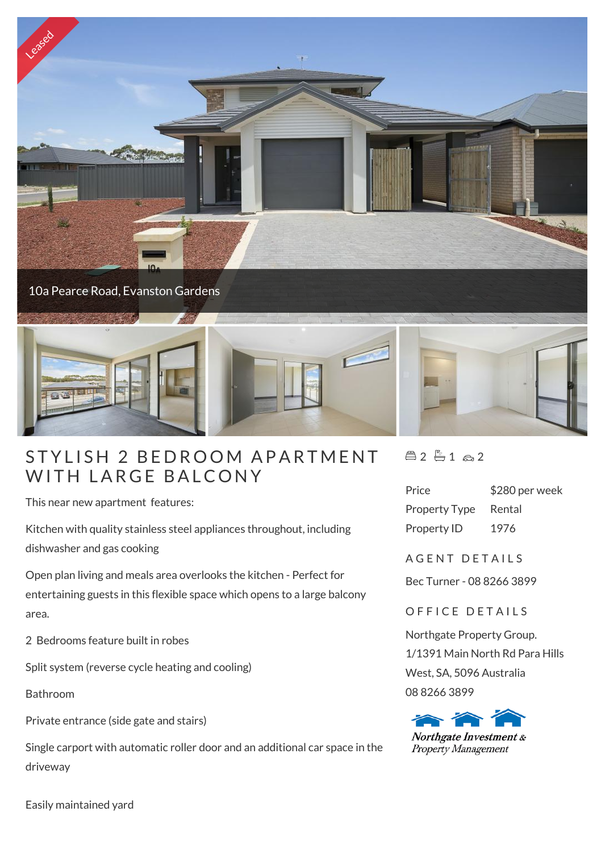

## STYLISH 2 BEDROOM APA<br>WITH LARGE BALCONY

This near new apartment features:

Kitchen with quality stainless steel appliances throughout, including dishwasher and gas cooking

Open plan living and meals area overlooks the kitchen - Perfect for entertaining guests in this flexible space which opens to a large balcony area.

2 Bedrooms feature built in robes

Split system (reverse cycle heating and cooling)

Bathroom

Private entrance (side gate and stairs)

Single carport with automatic roller door and an additional car space in the driveway

 $42 - 12 2$ 

Price \$280 per week Property Type Rental Property ID 1976

A G F N T D F T A I I S

Bec Turner - 08 8266 3899

OFFICE DETAILS

Northgate Property Group. 1/1391 Main North Rd Para Hills West, SA, 5096 Australia 08 8266 3899



Easily maintained yard